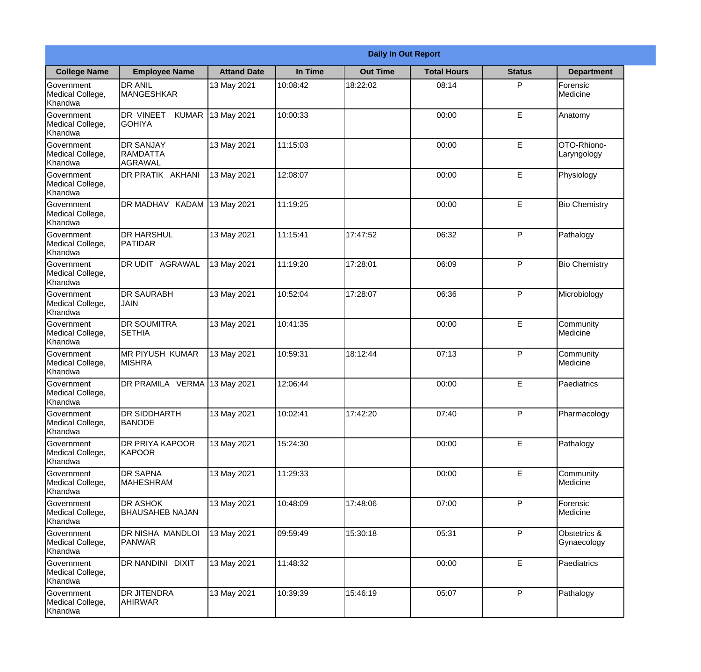|                                                  | <b>Daily In Out Report</b>                     |                    |          |                 |                    |               |                             |  |
|--------------------------------------------------|------------------------------------------------|--------------------|----------|-----------------|--------------------|---------------|-----------------------------|--|
| <b>College Name</b>                              | <b>Employee Name</b>                           | <b>Attand Date</b> | In Time  | <b>Out Time</b> | <b>Total Hours</b> | <b>Status</b> | <b>Department</b>           |  |
| Government<br>Medical College,<br>Khandwa        | <b>DR ANIL</b><br><b>MANGESHKAR</b>            | 13 May 2021        | 10:08:42 | 18:22:02        | 08:14              | P             | Forensic<br>Medicine        |  |
| Government<br>Medical College,<br>Khandwa        | DR VINEET<br><b>KUMAR</b><br><b>GOHIYA</b>     | 13 May 2021        | 10:00:33 |                 | 00:00              | E             | Anatomy                     |  |
| <b>Government</b><br>Medical College,<br>Khandwa | <b>DR SANJAY</b><br><b>RAMDATTA</b><br>AGRAWAL | 13 May 2021        | 11:15:03 |                 | 00:00              | E             | OTO-Rhiono-<br>Laryngology  |  |
| Government<br>Medical College,<br>Khandwa        | DR PRATIK AKHANI                               | 13 May 2021        | 12:08:07 |                 | 00:00              | E             | Physiology                  |  |
| Government<br>Medical College,<br>Khandwa        | DR MADHAV KADAM                                | 13 May 2021        | 11:19:25 |                 | 00:00              | E             | <b>Bio Chemistry</b>        |  |
| Government<br>Medical College,<br>Khandwa        | <b>DR HARSHUL</b><br>PATIDAR                   | 13 May 2021        | 11:15:41 | 17:47:52        | 06:32              | P             | Pathalogy                   |  |
| Government<br>Medical College,<br>Khandwa        | <b>DR UDIT AGRAWAL</b>                         | 13 May 2021        | 11:19:20 | 17:28:01        | 06:09              | P             | <b>Bio Chemistry</b>        |  |
| Government<br>Medical College,<br>Khandwa        | <b>DR SAURABH</b><br><b>JAIN</b>               | 13 May 2021        | 10:52:04 | 17:28:07        | 06:36              | P             | Microbiology                |  |
| Government<br>Medical College,<br>Khandwa        | <b>DR SOUMITRA</b><br><b>SETHIA</b>            | 13 May 2021        | 10:41:35 |                 | 00:00              | E             | Community<br>Medicine       |  |
| Government<br>Medical College,<br>Khandwa        | <b>MR PIYUSH KUMAR</b><br><b>MISHRA</b>        | 13 May 2021        | 10:59:31 | 18:12:44        | 07:13              | P             | Community<br>Medicine       |  |
| Government<br>Medical College,<br>Khandwa        | DR PRAMILA VERMA 13 May 2021                   |                    | 12:06:44 |                 | 00:00              | E             | Paediatrics                 |  |
| Government<br>Medical College,<br>Khandwa        | <b>DR SIDDHARTH</b><br><b>BANODE</b>           | 13 May 2021        | 10:02:41 | 17:42:20        | 07:40              | P             | Pharmacology                |  |
| Government<br>Medical College,<br>Khandwa        | <b>DR PRIYA KAPOOR</b><br>KAPOOR               | 13 May 2021        | 15:24:30 |                 | 00:00              | E             | Pathalogy                   |  |
| Government<br>Medical College,<br>Khandwa        | <b>DR SAPNA</b><br><b>MAHESHRAM</b>            | 13 May 2021        | 11:29:33 |                 | 00:00              | $\mathsf E$   | Community<br>Medicine       |  |
| <b>Government</b><br>Medical College,<br>Khandwa | <b>DR ASHOK</b><br><b>BHAUSAHEB NAJAN</b>      | 13 May 2021        | 10:48:09 | 17:48:06        | 07:00              | P             | Forensic<br>Medicine        |  |
| Government<br>Medical College,<br>Khandwa        | DR NISHA MANDLOI<br><b>PANWAR</b>              | 13 May 2021        | 09:59:49 | 15:30:18        | 05:31              | P             | Obstetrics &<br>Gynaecology |  |
| Government<br>Medical College,<br>Khandwa        | DR NANDINI DIXIT                               | 13 May 2021        | 11:48:32 |                 | 00:00              | E             | Paediatrics                 |  |
| Government<br>Medical College,<br>Khandwa        | <b>DR JITENDRA</b><br>AHIRWAR                  | 13 May 2021        | 10:39:39 | 15:46:19        | 05:07              | P             | Pathalogy                   |  |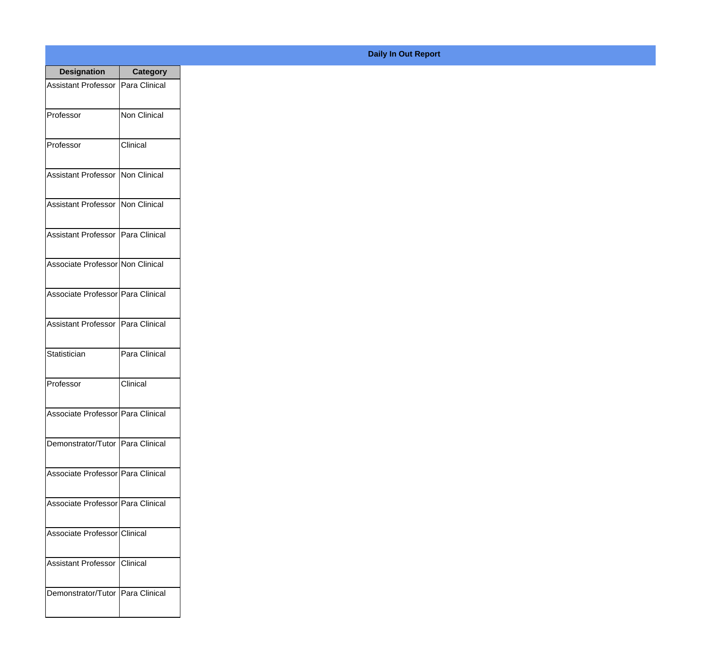| <b>Designation</b>                  | <b>Category</b>     |
|-------------------------------------|---------------------|
| Assistant Professor   Para Clinical |                     |
| Professor                           | <b>Non Clinical</b> |
| Professor                           | Clinical            |
| Assistant Professor   Non Clinical  |                     |
| <b>Assistant Professor</b>          | Non Clinical        |
| Assistant Professor   Para Clinical |                     |
| Associate Professor Non Clinical    |                     |
| Associate Professor Para Clinical   |                     |
| Assistant Professor   Para Clinical |                     |
| Statistician                        | Para Clinical       |
| Professor                           | Clinical            |
| Associate Professor Para Clinical   |                     |
| Demonstrator/Tutor   Para Clinical  |                     |
| Associate Professor   Para Clinical |                     |
| Associate Professor Para Clinical   |                     |
| Associate Professor Clinical        |                     |
| <b>Assistant Professor</b>          | Clinical            |
| Demonstrator/Tutor   Para Clinical  |                     |

## **Daily In Out Report**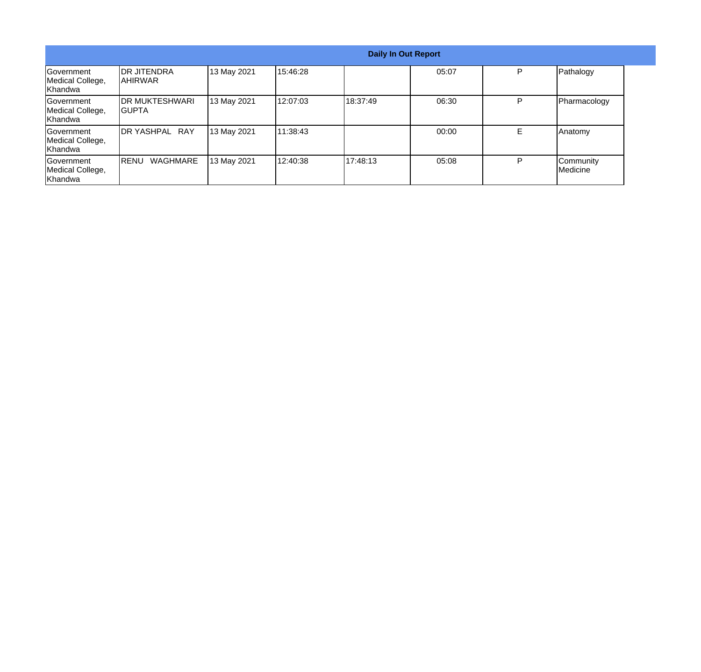| <b>Daily In Out Report</b>                        |                                  |             |          |          |       |    |                       |
|---------------------------------------------------|----------------------------------|-------------|----------|----------|-------|----|-----------------------|
| Government<br>Medical College,<br>Khandwa         | <b>DR JITENDRA</b><br>IAHIRWAR   | 13 May 2021 | 15:46:28 |          | 05:07 | P  | Pathalogy             |
| <b>IGovernment</b><br>Medical College,<br>Khandwa | <b>IDR MUKTESHWARI</b><br>IGUPTA | 13 May 2021 | 12:07:03 | 18:37:49 | 06:30 | P  | Pharmacology          |
| <b>IGovernment</b><br>Medical College,<br>Khandwa | DR YASHPAL RAY                   | 13 May 2021 | 11:38:43 |          | 00:00 | E. | Anatomy               |
| <b>Government</b><br>Medical College,<br>Khandwa  | WAGHMARE<br><b>IRENU</b>         | 13 May 2021 | 12:40:38 | 17:48:13 | 05:08 | P  | Community<br>Medicine |